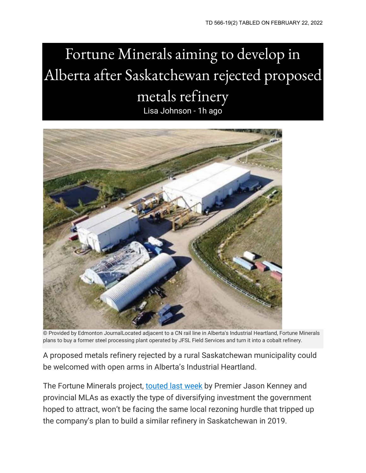## Fortune Minerals aiming to develop in Alberta after Saskatchewan rejected proposed metals refinery Lisa Johnson - 1h ago



© Provided by Edmonton JournalLocated adjacent to a CN rail line in Alberta's Industrial Heartland, Fortune Minerals plans to buy a former steel processing plant operated by JFSL Field Services and turn it into a cobalt refinery.

A proposed metals refinery rejected by a rural Saskatchewan municipality could be welcomed with open arms in Alberta's Industrial Heartland.

The Fortune Minerals project, [touted last week](https://twitter.com/jkenney/status/1486097296441946120?s=20&t=cC8AJfsSjSU_U5fthcyNIw) by Premier Jason Kenney and provincial MLAs as exactly the type of diversifying investment the government hoped to attract, won't be facing the same local rezoning hurdle that tripped up the company's plan to build a similar refinery in Saskatchewan in 2019.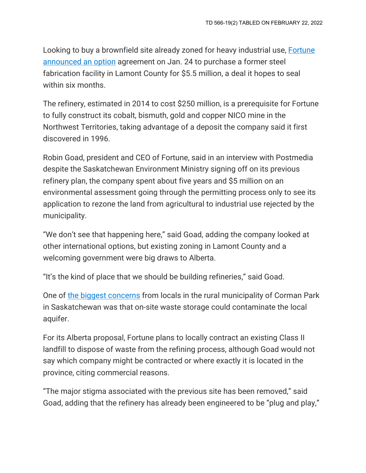Looking to buy a brownfield site already zoned for heavy industrial use, [Fortune](https://www.fortuneminerals.com/news/press-releases/press-release-details/2022/Fortune-Minerals-Secures-Option-to-Purchase-Brownfield-Site-in-Albertas-Industrial-Heartland-for-NICO-Refinery/default.aspx)  [announced an option](https://www.fortuneminerals.com/news/press-releases/press-release-details/2022/Fortune-Minerals-Secures-Option-to-Purchase-Brownfield-Site-in-Albertas-Industrial-Heartland-for-NICO-Refinery/default.aspx) agreement on Jan. 24 to purchase a former steel fabrication facility in Lamont County for \$5.5 million, a deal it hopes to seal within six months.

The refinery, estimated in 2014 to cost \$250 million, is a prerequisite for Fortune to fully construct its cobalt, bismuth, gold and copper NICO mine in the Northwest Territories, taking advantage of a deposit the company said it first discovered in 1996.

Robin Goad, president and CEO of Fortune, said in an interview with Postmedia despite the Saskatchewan Environment Ministry signing off on its previous refinery plan, the company spent about five years and \$5 million on an environmental assessment going through the permitting process only to see its application to rezone the land from agricultural to industrial use rejected by the municipality.

"We don't see that happening here," said Goad, adding the company looked at other international options, but existing zoning in Lamont County and a welcoming government were big draws to Alberta.

"It's the kind of place that we should be building refineries," said Goad.

One of [the biggest concerns](https://www.cbc.ca/news/canada/saskatoon/corman-park-fortune-minerals-refinery-rejected-1.5072259) from locals in the rural municipality of Corman Park in Saskatchewan was that on-site waste storage could contaminate the local aquifer.

For its Alberta proposal, Fortune plans to locally contract an existing Class II landfill to dispose of waste from the refining process, although Goad would not say which company might be contracted or where exactly it is located in the province, citing commercial reasons.

"The major stigma associated with the previous site has been removed," said Goad, adding that the refinery has already been engineered to be "plug and play,"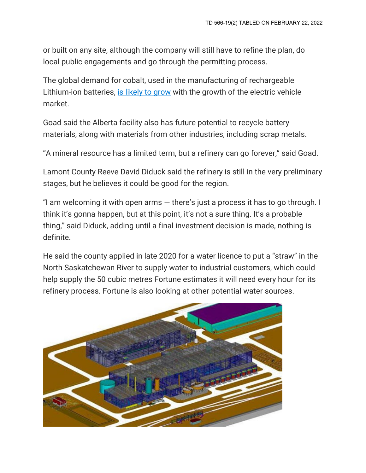or built on any site, although the company will still have to refine the plan, do local public engagements and go through the permitting process.

The global demand for cobalt, used in the manufacturing of rechargeable Lithium-ion batteries, [is likely to grow](https://www.reuters.com/business/energy/shortages-flagged-ev-materials-lithium-cobalt-2021-07-01/#:%7E:text=Cobalt%20content%20in%20batteries%20has,2030%20from%20141%2C000%20last%20year.) with the growth of the electric vehicle market.

Goad said the Alberta facility also has future potential to recycle battery materials, along with materials from other industries, including scrap metals.

"A mineral resource has a limited term, but a refinery can go forever," said Goad.

Lamont County Reeve David Diduck said the refinery is still in the very preliminary stages, but he believes it could be good for the region.

"I am welcoming it with open arms  $-$  there's just a process it has to go through. I think it's gonna happen, but at this point, it's not a sure thing. It's a probable thing," said Diduck, adding until a final investment decision is made, nothing is definite.

He said the county applied in late 2020 for a water licence to put a "straw" in the North Saskatchewan River to supply water to industrial customers, which could help supply the 50 cubic metres Fortune estimates it will need every hour for its refinery process. Fortune is also looking at other potential water sources.